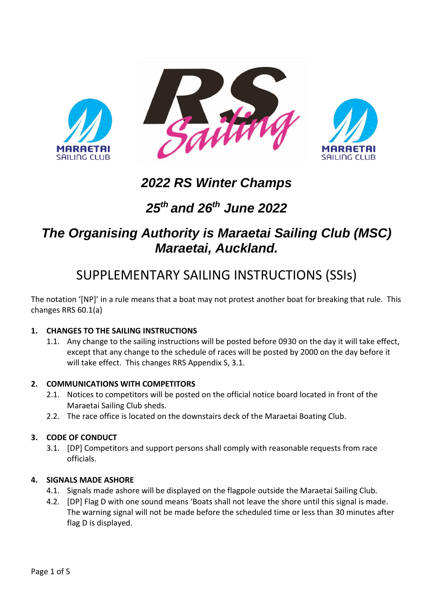

# *2022 RS Winter Champs*

# *25th and 26th June 2022*

# *The Organising Authority is Maraetai Sailing Club (MSC) Maraetai, Auckland.*

# SUPPLEMENTARY SAILING INSTRUCTIONS (SSIs)

The notation '[NP]' in a rule means that a boat may not protest another boat for breaking that rule. This changes RRS 60.1(a)

# **1. CHANGES TO THE SAILING INSTRUCTIONS**

1.1. Any change to the sailing instructions will be posted before 0930 on the day it will take effect, except that any change to the schedule of races will be posted by 2000 on the day before it will take effect. This changes RRS Appendix S, 3.1.

# **2. COMMUNICATIONS WITH COMPETITORS**

- 2.1. Notices to competitors will be posted on the official notice board located in front of the Maraetai Sailing Club sheds.
- 2.2. The race office is located on the downstairs deck of the Maraetai Boating Club.

#### **3. CODE OF CONDUCT**

3.1. [DP] Competitors and support persons shall comply with reasonable requests from race officials.

#### **4. SIGNALS MADE ASHORE**

- 4.1. Signals made ashore will be displayed on the flagpole outside the Maraetai Sailing Club.
- 4.2. [DP] Flag D with one sound means 'Boats shall not leave the shore until this signal is made. The warning signal will not be made before the scheduled time or less than 30 minutes after flag D is displayed.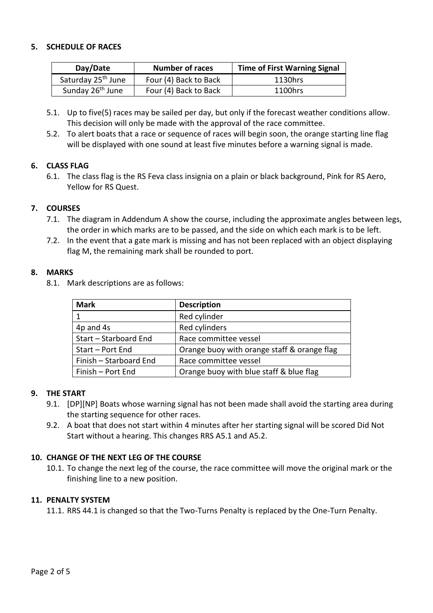## **5. SCHEDULE OF RACES**

| Day/Date                       | <b>Number of races</b> | <b>Time of First Warning Signal</b> |
|--------------------------------|------------------------|-------------------------------------|
| Saturday 25 <sup>th</sup> June | Four (4) Back to Back  | 1130hrs                             |
| Sunday 26 <sup>th</sup> June   | Four (4) Back to Back  | 1100hrs                             |

- 5.1. Up to five(5) races may be sailed per day, but only if the forecast weather conditions allow. This decision will only be made with the approval of the race committee.
- 5.2. To alert boats that a race or sequence of races will begin soon, the orange starting line flag will be displayed with one sound at least five minutes before a warning signal is made.

## **6. CLASS FLAG**

6.1. The class flag is the RS Feva class insignia on a plain or black background, Pink for RS Aero, Yellow for RS Quest.

## **7. COURSES**

- 7.1. The diagram in Addendum A show the course, including the approximate angles between legs, the order in which marks are to be passed, and the side on which each mark is to be left.
- 7.2. In the event that a gate mark is missing and has not been replaced with an object displaying flag M, the remaining mark shall be rounded to port.

#### **8. MARKS**

8.1. Mark descriptions are as follows:

| Mark                   | <b>Description</b>                          |
|------------------------|---------------------------------------------|
|                        | Red cylinder                                |
| 4p and 4s              | Red cylinders                               |
| Start - Starboard End  | Race committee vessel                       |
| Start - Port End       | Orange buoy with orange staff & orange flag |
| Finish - Starboard End | Race committee vessel                       |
| Finish - Port End      | Orange buoy with blue staff & blue flag     |

#### **9. THE START**

- 9.1. [DP][NP] Boats whose warning signal has not been made shall avoid the starting area during the starting sequence for other races.
- 9.2. A boat that does not start within 4 minutes after her starting signal will be scored Did Not Start without a hearing. This changes RRS A5.1 and A5.2.

# **10. CHANGE OF THE NEXT LEG OF THE COURSE**

10.1. To change the next leg of the course, the race committee will move the original mark or the finishing line to a new position.

# **11. PENALTY SYSTEM**

11.1. RRS 44.1 is changed so that the Two-Turns Penalty is replaced by the One-Turn Penalty.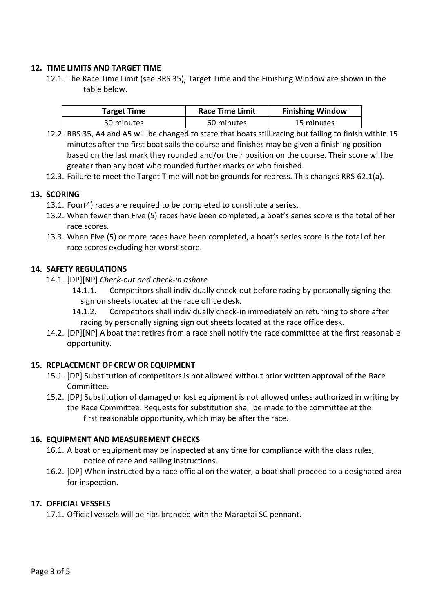## **12. TIME LIMITS AND TARGET TIME**

12.1. The Race Time Limit (see RRS 35), Target Time and the Finishing Window are shown in the table below.

| <b>Target Time</b> | <b>Race Time Limit</b> | <b>Finishing Window</b> |
|--------------------|------------------------|-------------------------|
| 30 minutes         | 60 minutes             | 15 minutes              |

- 12.2. RRS 35, A4 and A5 will be changed to state that boats still racing but failing to finish within 15 minutes after the first boat sails the course and finishes may be given a finishing position based on the last mark they rounded and/or their position on the course. Their score will be greater than any boat who rounded further marks or who finished.
- 12.3. Failure to meet the Target Time will not be grounds for redress. This changes RRS 62.1(a).

## **13. SCORING**

- 13.1. Four(4) races are required to be completed to constitute a series.
- 13.2. When fewer than Five (5) races have been completed, a boat's series score is the total of her race scores.
- 13.3. When Five (5) or more races have been completed, a boat's series score is the total of her race scores excluding her worst score.

## **14. SAFETY REGULATIONS**

- 14.1. [DP][NP] *Check-out and check-in ashore*
	- 14.1.1. Competitors shall individually check-out before racing by personally signing the sign on sheets located at the race office desk.
	- 14.1.2. Competitors shall individually check-in immediately on returning to shore after racing by personally signing sign out sheets located at the race office desk.
- 14.2. [DP][NP] A boat that retires from a race shall notify the race committee at the first reasonable opportunity.

# **15. REPLACEMENT OF CREW OR EQUIPMENT**

- 15.1. [DP] Substitution of competitors is not allowed without prior written approval of the Race Committee.
- 15.2. [DP] Substitution of damaged or lost equipment is not allowed unless authorized in writing by the Race Committee. Requests for substitution shall be made to the committee at the first reasonable opportunity, which may be after the race.

# **16. EQUIPMENT AND MEASUREMENT CHECKS**

- 16.1. A boat or equipment may be inspected at any time for compliance with the class rules, notice of race and sailing instructions.
- 16.2. [DP] When instructed by a race official on the water, a boat shall proceed to a designated area for inspection.

# **17. OFFICIAL VESSELS**

17.1. Official vessels will be ribs branded with the Maraetai SC pennant.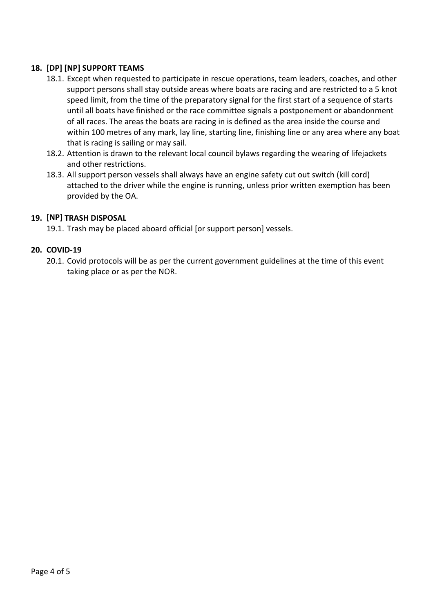# **18. [DP] [NP] SUPPORT TEAMS**

- 18.1. Except when requested to participate in rescue operations, team leaders, coaches, and other support persons shall stay outside areas where boats are racing and are restricted to a 5 knot speed limit, from the time of the preparatory signal for the first start of a sequence of starts until all boats have finished or the race committee signals a postponement or abandonment of all races. The areas the boats are racing in is defined as the area inside the course and within 100 metres of any mark, lay line, starting line, finishing line or any area where any boat that is racing is sailing or may sail.
- 18.2. Attention is drawn to the relevant local council bylaws regarding the wearing of lifejackets and other restrictions.
- 18.3. All support person vessels shall always have an engine safety cut out switch (kill cord) attached to the driver while the engine is running, unless prior written exemption has been provided by the OA.

## **19. [NP] TRASH DISPOSAL**

19.1. Trash may be placed aboard official [or support person] vessels.

## **20. COVID-19**

20.1. Covid protocols will be as per the current government guidelines at the time of this event taking place or as per the NOR.